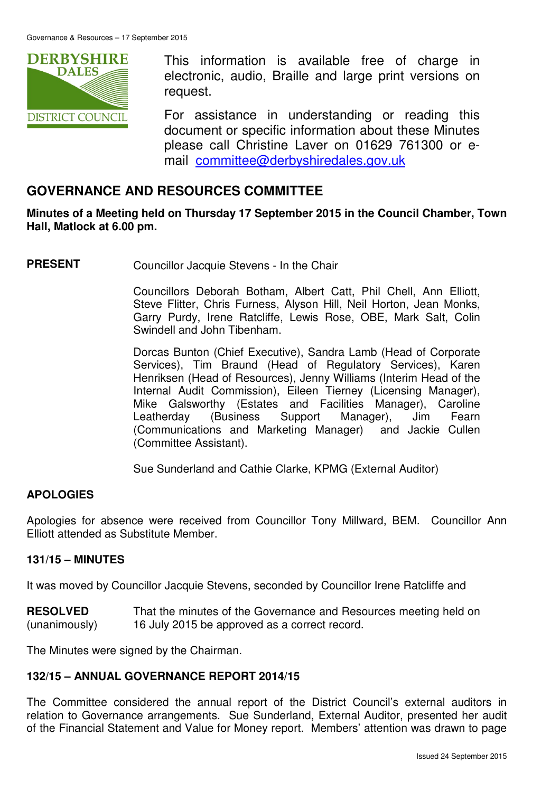

This information is available free of charge in electronic, audio, Braille and large print versions on request.

For assistance in understanding or reading this document or specific information about these Minutes please call Christine Laver on 01629 761300 or email committee@derbyshiredales.gov.uk

# **GOVERNANCE AND RESOURCES COMMITTEE**

**Minutes of a Meeting held on Thursday 17 September 2015 in the Council Chamber, Town Hall, Matlock at 6.00 pm.** 

**PRESENT** Councillor Jacquie Stevens - In the Chair

 Councillors Deborah Botham, Albert Catt, Phil Chell, Ann Elliott, Steve Flitter, Chris Furness, Alyson Hill, Neil Horton, Jean Monks, Garry Purdy, Irene Ratcliffe, Lewis Rose, OBE, Mark Salt, Colin Swindell and John Tibenham.

 Dorcas Bunton (Chief Executive), Sandra Lamb (Head of Corporate Services), Tim Braund (Head of Regulatory Services), Karen Henriksen (Head of Resources), Jenny Williams (Interim Head of the Internal Audit Commission), Eileen Tierney (Licensing Manager), Mike Galsworthy (Estates and Facilities Manager), Caroline Leatherday (Business Support Manager), Jim Fearn (Communications and Marketing Manager) and Jackie Cullen (Committee Assistant).

Sue Sunderland and Cathie Clarke, KPMG (External Auditor)

#### **APOLOGIES**

Apologies for absence were received from Councillor Tony Millward, BEM. Councillor Ann Elliott attended as Substitute Member.

#### **131/15 – MINUTES**

It was moved by Councillor Jacquie Stevens, seconded by Councillor Irene Ratcliffe and

**RESOLVED** (unanimously) That the minutes of the Governance and Resources meeting held on 16 July 2015 be approved as a correct record.

The Minutes were signed by the Chairman.

#### **132/15 – ANNUAL GOVERNANCE REPORT 2014/15**

The Committee considered the annual report of the District Council's external auditors in relation to Governance arrangements. Sue Sunderland, External Auditor, presented her audit of the Financial Statement and Value for Money report. Members' attention was drawn to page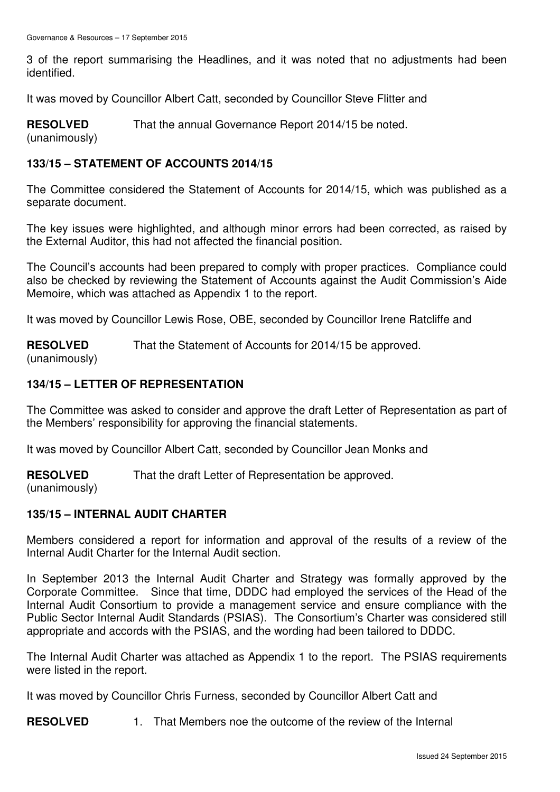3 of the report summarising the Headlines, and it was noted that no adjustments had been identified.

It was moved by Councillor Albert Catt, seconded by Councillor Steve Flitter and

**RESOLVED** That the annual Governance Report 2014/15 be noted.

(unanimously)

# **133/15 – STATEMENT OF ACCOUNTS 2014/15**

The Committee considered the Statement of Accounts for 2014/15, which was published as a separate document.

The key issues were highlighted, and although minor errors had been corrected, as raised by the External Auditor, this had not affected the financial position.

The Council's accounts had been prepared to comply with proper practices. Compliance could also be checked by reviewing the Statement of Accounts against the Audit Commission's Aide Memoire, which was attached as Appendix 1 to the report.

It was moved by Councillor Lewis Rose, OBE, seconded by Councillor Irene Ratcliffe and

**RESOLVED** That the Statement of Accounts for 2014/15 be approved.

(unanimously)

## **134/15 – LETTER OF REPRESENTATION**

The Committee was asked to consider and approve the draft Letter of Representation as part of the Members' responsibility for approving the financial statements.

It was moved by Councillor Albert Catt, seconded by Councillor Jean Monks and

**RESOLVED** That the draft Letter of Representation be approved.

(unanimously)

# **135/15 – INTERNAL AUDIT CHARTER**

Members considered a report for information and approval of the results of a review of the Internal Audit Charter for the Internal Audit section.

In September 2013 the Internal Audit Charter and Strategy was formally approved by the Corporate Committee. Since that time, DDDC had employed the services of the Head of the Internal Audit Consortium to provide a management service and ensure compliance with the Public Sector Internal Audit Standards (PSIAS). The Consortium's Charter was considered still appropriate and accords with the PSIAS, and the wording had been tailored to DDDC.

The Internal Audit Charter was attached as Appendix 1 to the report. The PSIAS requirements were listed in the report.

It was moved by Councillor Chris Furness, seconded by Councillor Albert Catt and

**RESOLVED** 1. That Members noe the outcome of the review of the Internal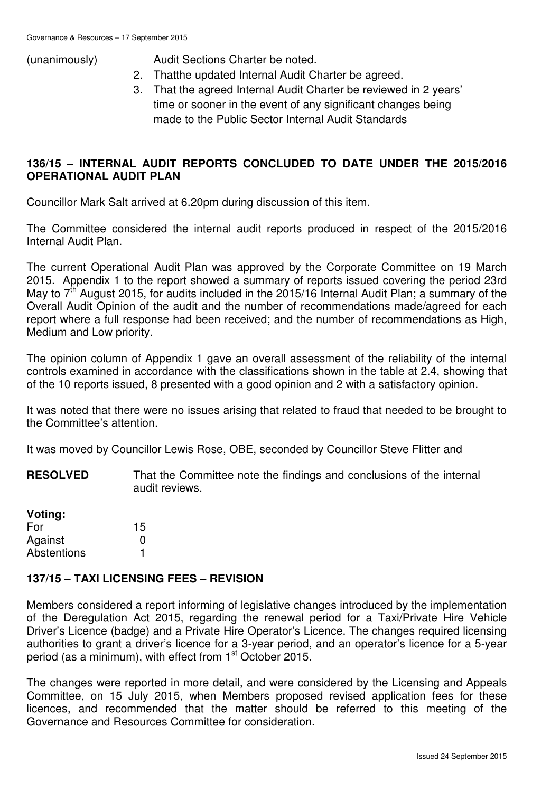(unanimously) Audit Sections Charter be noted.

- 2. Thatthe updated Internal Audit Charter be agreed.
- 3. That the agreed Internal Audit Charter be reviewed in 2 years' time or sooner in the event of any significant changes being made to the Public Sector Internal Audit Standards

## **136/15 – INTERNAL AUDIT REPORTS CONCLUDED TO DATE UNDER THE 2015/2016 OPERATIONAL AUDIT PLAN**

Councillor Mark Salt arrived at 6.20pm during discussion of this item.

The Committee considered the internal audit reports produced in respect of the 2015/2016 Internal Audit Plan.

The current Operational Audit Plan was approved by the Corporate Committee on 19 March 2015. Appendix 1 to the report showed a summary of reports issued covering the period 23rd May to  $7<sup>th</sup>$  August 2015, for audits included in the 2015/16 Internal Audit Plan; a summary of the Overall Audit Opinion of the audit and the number of recommendations made/agreed for each report where a full response had been received; and the number of recommendations as High, Medium and Low priority.

The opinion column of Appendix 1 gave an overall assessment of the reliability of the internal controls examined in accordance with the classifications shown in the table at 2.4, showing that of the 10 reports issued, 8 presented with a good opinion and 2 with a satisfactory opinion.

It was noted that there were no issues arising that related to fraud that needed to be brought to the Committee's attention.

It was moved by Councillor Lewis Rose, OBE, seconded by Councillor Steve Flitter and

**RESOLVED** That the Committee note the findings and conclusions of the internal audit reviews.

| Voting:            |    |
|--------------------|----|
| For                | 15 |
| Against            | O  |
| <b>Abstentions</b> |    |

# **137/15 – TAXI LICENSING FEES – REVISION**

Members considered a report informing of legislative changes introduced by the implementation of the Deregulation Act 2015, regarding the renewal period for a Taxi/Private Hire Vehicle Driver's Licence (badge) and a Private Hire Operator's Licence. The changes required licensing authorities to grant a driver's licence for a 3-year period, and an operator's licence for a 5-year period (as a minimum), with effect from 1<sup>st</sup> October 2015.

The changes were reported in more detail, and were considered by the Licensing and Appeals Committee, on 15 July 2015, when Members proposed revised application fees for these licences, and recommended that the matter should be referred to this meeting of the Governance and Resources Committee for consideration.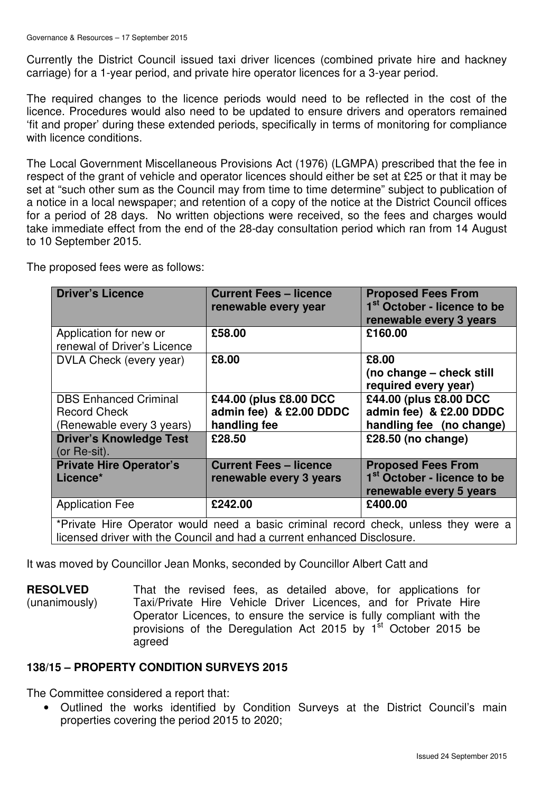Currently the District Council issued taxi driver licences (combined private hire and hackney carriage) for a 1-year period, and private hire operator licences for a 3-year period.

The required changes to the licence periods would need to be reflected in the cost of the licence. Procedures would also need to be updated to ensure drivers and operators remained 'fit and proper' during these extended periods, specifically in terms of monitoring for compliance with licence conditions.

The Local Government Miscellaneous Provisions Act (1976) (LGMPA) prescribed that the fee in respect of the grant of vehicle and operator licences should either be set at £25 or that it may be set at "such other sum as the Council may from time to time determine" subject to publication of a notice in a local newspaper; and retention of a copy of the notice at the District Council offices for a period of 28 days. No written objections were received, so the fees and charges would take immediate effect from the end of the 28-day consultation period which ran from 14 August to 10 September 2015.

The proposed fees were as follows:

| <b>Driver's Licence</b>                                                                                                                                        | <b>Current Fees - licence</b><br>renewable every year             | <b>Proposed Fees From</b><br>1 <sup>st</sup> October - licence to be<br>renewable every 3 years |  |
|----------------------------------------------------------------------------------------------------------------------------------------------------------------|-------------------------------------------------------------------|-------------------------------------------------------------------------------------------------|--|
| Application for new or<br>renewal of Driver's Licence                                                                                                          | £58.00                                                            | £160.00                                                                                         |  |
| DVLA Check (every year)                                                                                                                                        | £8.00                                                             | £8.00<br>(no change – check still<br>required every year)                                       |  |
| <b>DBS Enhanced Criminal</b><br><b>Record Check</b><br>(Renewable every 3 years)                                                                               | £44.00 (plus £8.00 DCC<br>admin fee) & £2.00 DDDC<br>handling fee | £44.00 (plus £8.00 DCC<br>admin fee) & £2.00 DDDC<br>handling fee (no change)                   |  |
| <b>Driver's Knowledge Test</b><br>(or Re-sit).                                                                                                                 | £28.50                                                            | £28.50 (no change)                                                                              |  |
| <b>Private Hire Operator's</b><br>Licence*                                                                                                                     | <b>Current Fees - licence</b><br>renewable every 3 years          | <b>Proposed Fees From</b><br>1 <sup>st</sup> October - licence to be<br>renewable every 5 years |  |
| <b>Application Fee</b>                                                                                                                                         | £242.00                                                           | £400.00                                                                                         |  |
| *Private Hire Operator would need a basic criminal record check, unless they were a<br>licensed driver with the Council and had a current enhanced Disclosure. |                                                                   |                                                                                                 |  |

It was moved by Councillor Jean Monks, seconded by Councillor Albert Catt and

**RESOLVED** (unanimously) That the revised fees, as detailed above, for applications for Taxi/Private Hire Vehicle Driver Licences, and for Private Hire Operator Licences, to ensure the service is fully compliant with the provisions of the Deregulation Act 2015 by  $1<sup>st</sup>$  October 2015 be agreed

#### **138/15 – PROPERTY CONDITION SURVEYS 2015**

The Committee considered a report that:

• Outlined the works identified by Condition Surveys at the District Council's main properties covering the period 2015 to 2020;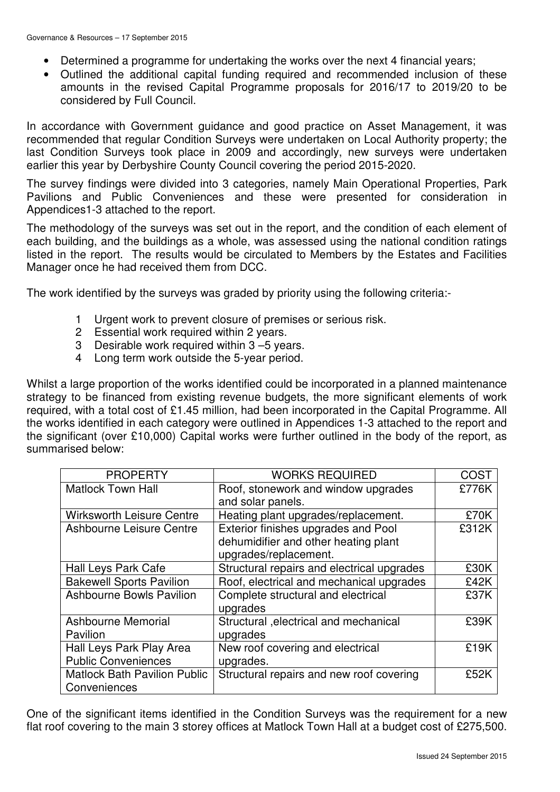- Determined a programme for undertaking the works over the next 4 financial years;
- Outlined the additional capital funding required and recommended inclusion of these amounts in the revised Capital Programme proposals for 2016/17 to 2019/20 to be considered by Full Council.

In accordance with Government guidance and good practice on Asset Management, it was recommended that regular Condition Surveys were undertaken on Local Authority property; the last Condition Surveys took place in 2009 and accordingly, new surveys were undertaken earlier this year by Derbyshire County Council covering the period 2015-2020.

The survey findings were divided into 3 categories, namely Main Operational Properties, Park Pavilions and Public Conveniences and these were presented for consideration in Appendices1-3 attached to the report.

The methodology of the surveys was set out in the report, and the condition of each element of each building, and the buildings as a whole, was assessed using the national condition ratings listed in the report. The results would be circulated to Members by the Estates and Facilities Manager once he had received them from DCC.

The work identified by the surveys was graded by priority using the following criteria:-

- 1 Urgent work to prevent closure of premises or serious risk.
- 2 Essential work required within 2 years.
- 3 Desirable work required within 3 –5 years.
- 4 Long term work outside the 5-year period.

Whilst a large proportion of the works identified could be incorporated in a planned maintenance strategy to be financed from existing revenue budgets, the more significant elements of work required, with a total cost of £1.45 million, had been incorporated in the Capital Programme. All the works identified in each category were outlined in Appendices 1-3 attached to the report and the significant (over £10,000) Capital works were further outlined in the body of the report, as summarised below:

| <b>PROPERTY</b>                     | <b>WORKS REQUIRED</b>                      | COST  |
|-------------------------------------|--------------------------------------------|-------|
| <b>Matlock Town Hall</b>            | Roof, stonework and window upgrades        | £776K |
|                                     | and solar panels.                          |       |
| <b>Wirksworth Leisure Centre</b>    | Heating plant upgrades/replacement.        | £70K  |
| Ashbourne Leisure Centre            | Exterior finishes upgrades and Pool        | £312K |
|                                     | dehumidifier and other heating plant       |       |
|                                     | upgrades/replacement.                      |       |
| Hall Leys Park Cafe                 | Structural repairs and electrical upgrades | £30K  |
| <b>Bakewell Sports Pavilion</b>     | Roof, electrical and mechanical upgrades   | £42K  |
| <b>Ashbourne Bowls Pavilion</b>     | Complete structural and electrical         | £37K  |
|                                     | upgrades                                   |       |
| Ashbourne Memorial                  | Structural , electrical and mechanical     | £39K  |
| Pavilion                            | upgrades                                   |       |
| Hall Leys Park Play Area            | New roof covering and electrical           | £19K  |
| <b>Public Conveniences</b>          | upgrades.                                  |       |
| <b>Matlock Bath Pavilion Public</b> | Structural repairs and new roof covering   | £52K  |
| Conveniences                        |                                            |       |

One of the significant items identified in the Condition Surveys was the requirement for a new flat roof covering to the main 3 storey offices at Matlock Town Hall at a budget cost of £275,500.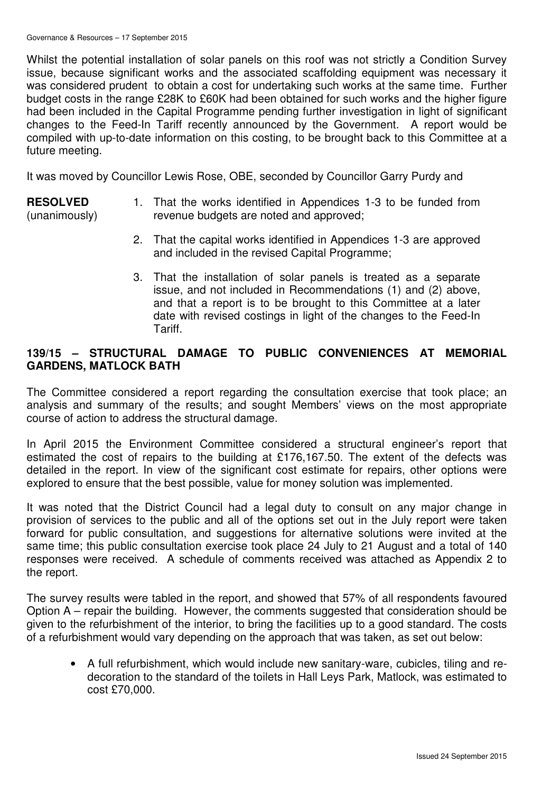Whilst the potential installation of solar panels on this roof was not strictly a Condition Survey issue, because significant works and the associated scaffolding equipment was necessary it was considered prudent to obtain a cost for undertaking such works at the same time. Further budget costs in the range £28K to £60K had been obtained for such works and the higher figure had been included in the Capital Programme pending further investigation in light of significant changes to the Feed-In Tariff recently announced by the Government. A report would be compiled with up-to-date information on this costing, to be brought back to this Committee at a future meeting.

It was moved by Councillor Lewis Rose, OBE, seconded by Councillor Garry Purdy and

## **RESOLVED**

(unanimously)

- 1. That the works identified in Appendices 1-3 to be funded from revenue budgets are noted and approved;
- 2. That the capital works identified in Appendices 1-3 are approved and included in the revised Capital Programme;
- 3. That the installation of solar panels is treated as a separate issue, and not included in Recommendations (1) and (2) above, and that a report is to be brought to this Committee at a later date with revised costings in light of the changes to the Feed-In Tariff.

## **139/15 – STRUCTURAL DAMAGE TO PUBLIC CONVENIENCES AT MEMORIAL GARDENS, MATLOCK BATH**

The Committee considered a report regarding the consultation exercise that took place; an analysis and summary of the results; and sought Members' views on the most appropriate course of action to address the structural damage.

In April 2015 the Environment Committee considered a structural engineer's report that estimated the cost of repairs to the building at £176,167.50. The extent of the defects was detailed in the report. In view of the significant cost estimate for repairs, other options were explored to ensure that the best possible, value for money solution was implemented.

It was noted that the District Council had a legal duty to consult on any major change in provision of services to the public and all of the options set out in the July report were taken forward for public consultation, and suggestions for alternative solutions were invited at the same time; this public consultation exercise took place 24 July to 21 August and a total of 140 responses were received. A schedule of comments received was attached as Appendix 2 to the report.

The survey results were tabled in the report, and showed that 57% of all respondents favoured Option A – repair the building. However, the comments suggested that consideration should be given to the refurbishment of the interior, to bring the facilities up to a good standard. The costs of a refurbishment would vary depending on the approach that was taken, as set out below:

• A full refurbishment, which would include new sanitary-ware, cubicles, tiling and redecoration to the standard of the toilets in Hall Leys Park, Matlock, was estimated to cost £70,000.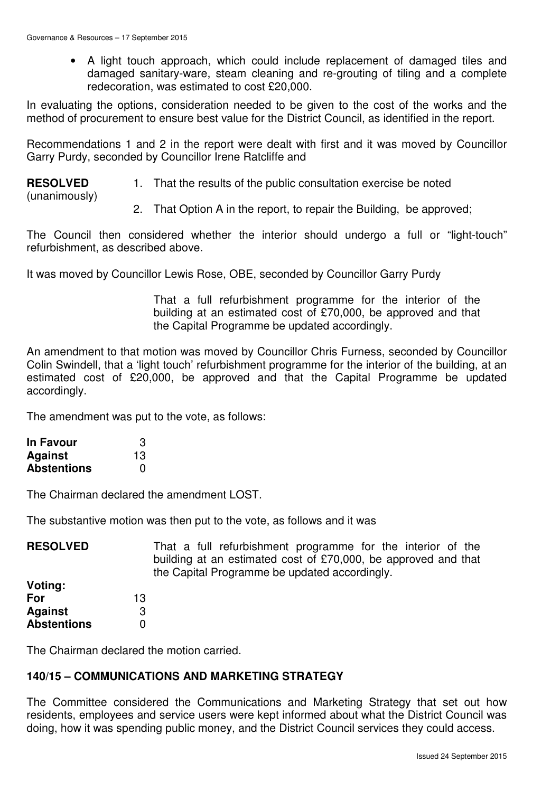• A light touch approach, which could include replacement of damaged tiles and damaged sanitary-ware, steam cleaning and re-grouting of tiling and a complete redecoration, was estimated to cost £20,000.

In evaluating the options, consideration needed to be given to the cost of the works and the method of procurement to ensure best value for the District Council, as identified in the report.

Recommendations 1 and 2 in the report were dealt with first and it was moved by Councillor Garry Purdy, seconded by Councillor Irene Ratcliffe and

**RESOLVED**

1. That the results of the public consultation exercise be noted

(unanimously)

2. That Option A in the report, to repair the Building, be approved;

The Council then considered whether the interior should undergo a full or "light-touch" refurbishment, as described above.

It was moved by Councillor Lewis Rose, OBE, seconded by Councillor Garry Purdy

That a full refurbishment programme for the interior of the building at an estimated cost of £70,000, be approved and that the Capital Programme be updated accordingly.

An amendment to that motion was moved by Councillor Chris Furness, seconded by Councillor Colin Swindell, that a 'light touch' refurbishment programme for the interior of the building, at an estimated cost of £20,000, be approved and that the Capital Programme be updated accordingly.

The amendment was put to the vote, as follows:

| <b>In Favour</b>   | 3  |
|--------------------|----|
| <b>Against</b>     | 13 |
| <b>Abstentions</b> | O  |

The Chairman declared the amendment LOST.

The substantive motion was then put to the vote, as follows and it was

| <b>RESOLVED</b>    | That a full refurbishment programme for the interior of the<br>building at an estimated cost of £70,000, be approved and that<br>the Capital Programme be updated accordingly. |
|--------------------|--------------------------------------------------------------------------------------------------------------------------------------------------------------------------------|
| Voting:            |                                                                                                                                                                                |
| For                | 13                                                                                                                                                                             |
| <b>Against</b>     | 3                                                                                                                                                                              |
| <b>Abstentions</b> |                                                                                                                                                                                |

The Chairman declared the motion carried.

#### **140/15 – COMMUNICATIONS AND MARKETING STRATEGY**

The Committee considered the Communications and Marketing Strategy that set out how residents, employees and service users were kept informed about what the District Council was doing, how it was spending public money, and the District Council services they could access.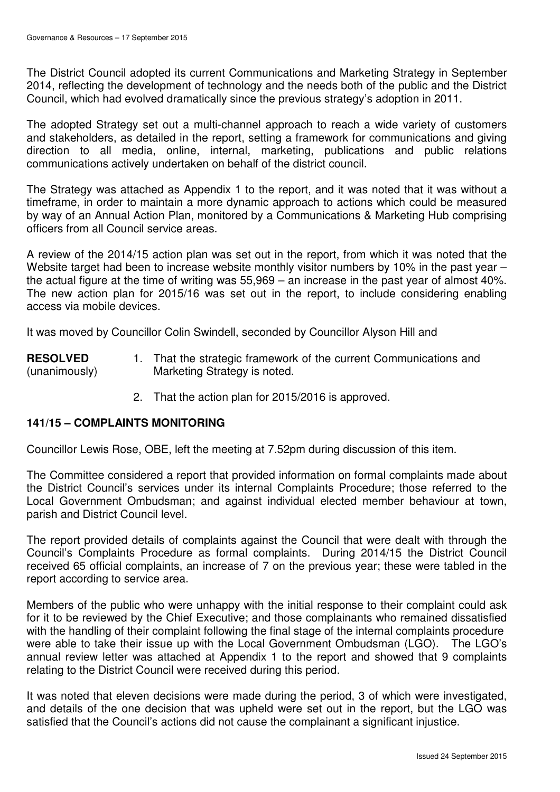The District Council adopted its current Communications and Marketing Strategy in September 2014, reflecting the development of technology and the needs both of the public and the District Council, which had evolved dramatically since the previous strategy's adoption in 2011.

The adopted Strategy set out a multi-channel approach to reach a wide variety of customers and stakeholders, as detailed in the report, setting a framework for communications and giving direction to all media, online, internal, marketing, publications and public relations communications actively undertaken on behalf of the district council.

The Strategy was attached as Appendix 1 to the report, and it was noted that it was without a timeframe, in order to maintain a more dynamic approach to actions which could be measured by way of an Annual Action Plan, monitored by a Communications & Marketing Hub comprising officers from all Council service areas.

A review of the 2014/15 action plan was set out in the report, from which it was noted that the Website target had been to increase website monthly visitor numbers by 10% in the past year – the actual figure at the time of writing was 55,969 – an increase in the past year of almost 40%. The new action plan for 2015/16 was set out in the report, to include considering enabling access via mobile devices.

It was moved by Councillor Colin Swindell, seconded by Councillor Alyson Hill and

**RESOLVED** (unanimously) 1. That the strategic framework of the current Communications and Marketing Strategy is noted.

2. That the action plan for 2015/2016 is approved.

#### **141/15 – COMPLAINTS MONITORING**

Councillor Lewis Rose, OBE, left the meeting at 7.52pm during discussion of this item.

The Committee considered a report that provided information on formal complaints made about the District Council's services under its internal Complaints Procedure; those referred to the Local Government Ombudsman; and against individual elected member behaviour at town, parish and District Council level.

The report provided details of complaints against the Council that were dealt with through the Council's Complaints Procedure as formal complaints. During 2014/15 the District Council received 65 official complaints, an increase of 7 on the previous year; these were tabled in the report according to service area.

Members of the public who were unhappy with the initial response to their complaint could ask for it to be reviewed by the Chief Executive; and those complainants who remained dissatisfied with the handling of their complaint following the final stage of the internal complaints procedure were able to take their issue up with the Local Government Ombudsman (LGO). The LGO's annual review letter was attached at Appendix 1 to the report and showed that 9 complaints relating to the District Council were received during this period.

It was noted that eleven decisions were made during the period, 3 of which were investigated, and details of the one decision that was upheld were set out in the report, but the LGO was satisfied that the Council's actions did not cause the complainant a significant injustice.